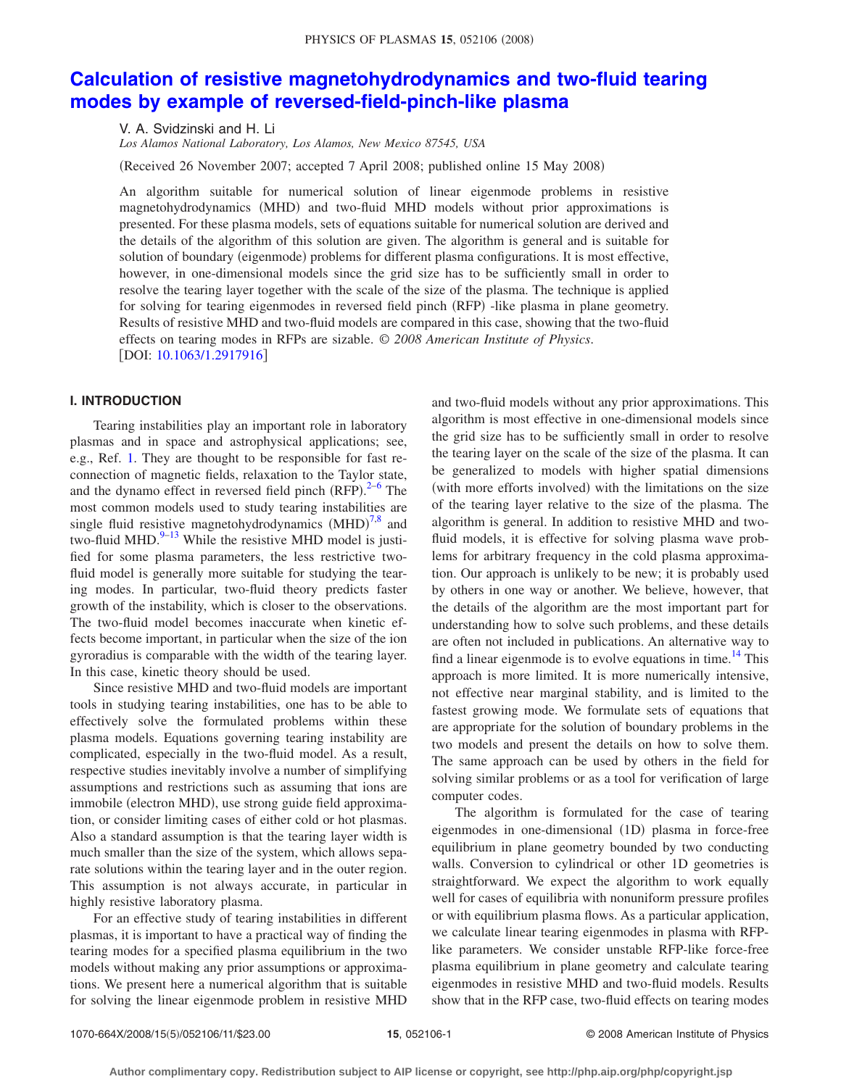## **[Calculation of resistive magnetohydrodynamics and two-fluid tearing](http://dx.doi.org/10.1063/1.2917916) [modes by example of reversed-field-pinch-like plasma](http://dx.doi.org/10.1063/1.2917916)**

V. A. Svidzinski and H. Li

*Los Alamos National Laboratory, Los Alamos, New Mexico 87545, USA*

(Received 26 November 2007; accepted 7 April 2008; published online 15 May 2008)

An algorithm suitable for numerical solution of linear eigenmode problems in resistive magnetohydrodynamics (MHD) and two-fluid MHD models without prior approximations is presented. For these plasma models, sets of equations suitable for numerical solution are derived and the details of the algorithm of this solution are given. The algorithm is general and is suitable for solution of boundary (eigenmode) problems for different plasma configurations. It is most effective, however, in one-dimensional models since the grid size has to be sufficiently small in order to resolve the tearing layer together with the scale of the size of the plasma. The technique is applied for solving for tearing eigenmodes in reversed field pinch (RFP) -like plasma in plane geometry. Results of resistive MHD and two-fluid models are compared in this case, showing that the two-fluid effects on tearing modes in RFPs are sizable. © *2008 American Institute of Physics*. [DOI: [10.1063/1.2917916](http://dx.doi.org/10.1063/1.2917916)]

## **I. INTRODUCTION**

Tearing instabilities play an important role in laboratory plasmas and in space and astrophysical applications; see, e.g., Ref. [1.](#page-10-0) They are thought to be responsible for fast reconnection of magnetic fields, relaxation to the Taylor state, and the dynamo effect in reversed field pinch  $(RFP).^{2-6}$  $(RFP).^{2-6}$  $(RFP).^{2-6}$  The most common models used to study tearing instabilities are single fluid resistive magnetohydrodynamics  $(MHD)^{7,8}$  $(MHD)^{7,8}$  $(MHD)^{7,8}$  $(MHD)^{7,8}$  and two-fluid MHD. $^{9-13}$  While the resistive MHD model is justified for some plasma parameters, the less restrictive twofluid model is generally more suitable for studying the tearing modes. In particular, two-fluid theory predicts faster growth of the instability, which is closer to the observations. The two-fluid model becomes inaccurate when kinetic effects become important, in particular when the size of the ion gyroradius is comparable with the width of the tearing layer. In this case, kinetic theory should be used.

Since resistive MHD and two-fluid models are important tools in studying tearing instabilities, one has to be able to effectively solve the formulated problems within these plasma models. Equations governing tearing instability are complicated, especially in the two-fluid model. As a result, respective studies inevitably involve a number of simplifying assumptions and restrictions such as assuming that ions are immobile (electron MHD), use strong guide field approximation, or consider limiting cases of either cold or hot plasmas. Also a standard assumption is that the tearing layer width is much smaller than the size of the system, which allows separate solutions within the tearing layer and in the outer region. This assumption is not always accurate, in particular in highly resistive laboratory plasma.

For an effective study of tearing instabilities in different plasmas, it is important to have a practical way of finding the tearing modes for a specified plasma equilibrium in the two models without making any prior assumptions or approximations. We present here a numerical algorithm that is suitable for solving the linear eigenmode problem in resistive MHD and two-fluid models without any prior approximations. This algorithm is most effective in one-dimensional models since the grid size has to be sufficiently small in order to resolve the tearing layer on the scale of the size of the plasma. It can be generalized to models with higher spatial dimensions (with more efforts involved) with the limitations on the size of the tearing layer relative to the size of the plasma. The algorithm is general. In addition to resistive MHD and twofluid models, it is effective for solving plasma wave problems for arbitrary frequency in the cold plasma approximation. Our approach is unlikely to be new; it is probably used by others in one way or another. We believe, however, that the details of the algorithm are the most important part for understanding how to solve such problems, and these details are often not included in publications. An alternative way to find a linear eigenmode is to evolve equations in time.<sup>14</sup> This approach is more limited. It is more numerically intensive, not effective near marginal stability, and is limited to the fastest growing mode. We formulate sets of equations that are appropriate for the solution of boundary problems in the two models and present the details on how to solve them. The same approach can be used by others in the field for solving similar problems or as a tool for verification of large computer codes.

The algorithm is formulated for the case of tearing eigenmodes in one-dimensional (1D) plasma in force-free equilibrium in plane geometry bounded by two conducting walls. Conversion to cylindrical or other 1D geometries is straightforward. We expect the algorithm to work equally well for cases of equilibria with nonuniform pressure profiles or with equilibrium plasma flows. As a particular application, we calculate linear tearing eigenmodes in plasma with RFPlike parameters. We consider unstable RFP-like force-free plasma equilibrium in plane geometry and calculate tearing eigenmodes in resistive MHD and two-fluid models. Results show that in the RFP case, two-fluid effects on tearing modes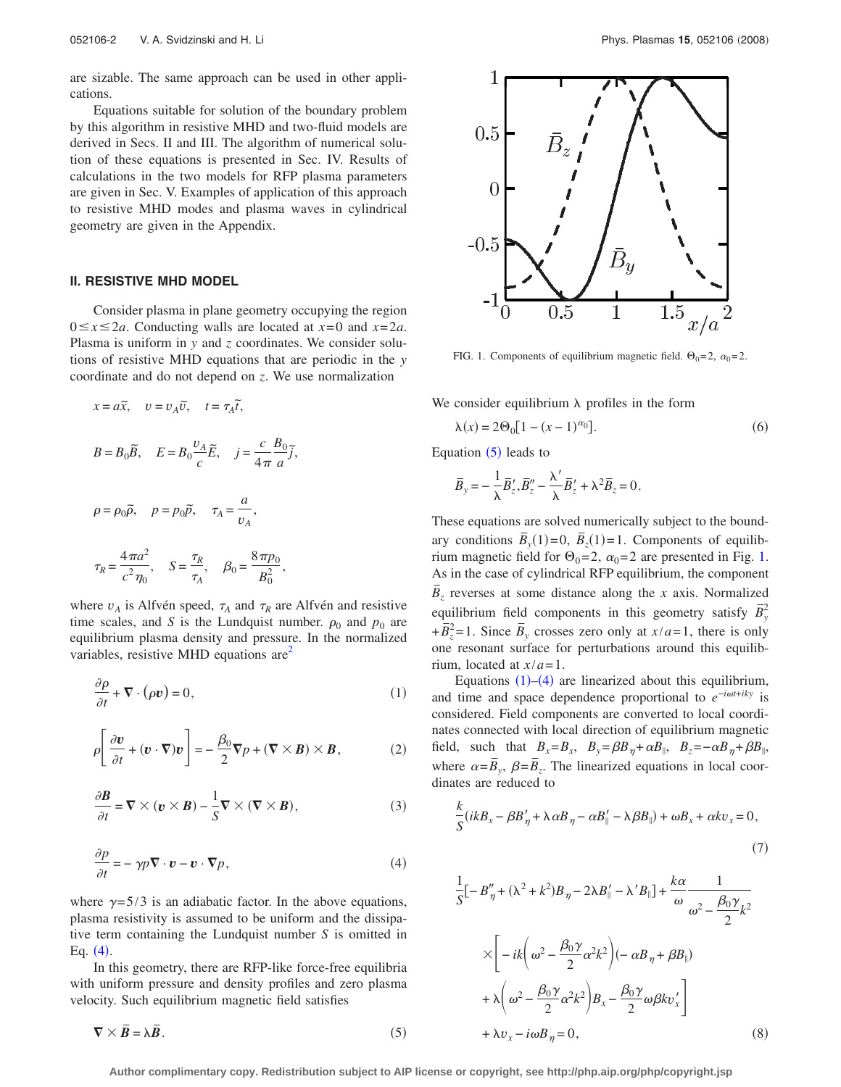are sizable. The same approach can be used in other applications.

Equations suitable for solution of the boundary problem by this algorithm in resistive MHD and two-fluid models are derived in Secs. II and III. The algorithm of numerical solution of these equations is presented in Sec. IV. Results of calculations in the two models for RFP plasma parameters are given in Sec. V. Examples of application of this approach to resistive MHD modes and plasma waves in cylindrical geometry are given in the Appendix.

#### **II. RESISTIVE MHD MODEL**

Consider plasma in plane geometry occupying the region  $0 \le x \le 2a$ . Conducting walls are located at  $x=0$  and  $x=2a$ . Plasma is uniform in *y* and *z* coordinates. We consider solutions of resistive MHD equations that are periodic in the *y* coordinate and do not depend on *z*. We use normalization

$$
x = a\tilde{x}, \quad v = v_A \tilde{v}, \quad t = \tau_A \tilde{t},
$$
  

$$
B = B_0 \tilde{B}, \quad E = B_0 \frac{v_A}{c} \tilde{E}, \quad j = \frac{c}{4\pi} \frac{B_0}{a} \tilde{f},
$$
  

$$
\rho = \rho_0 \tilde{\rho}, \quad p = p_0 \tilde{p}, \quad \tau_A = \frac{a}{v_A},
$$
  

$$
\tau_R = \frac{4\pi a^2}{c^2 \eta_0}, \quad S = \frac{\tau_R}{\tau_A}, \quad \beta_0 = \frac{8\pi p_0}{B_0^2},
$$

where  $v_A$  is Alfvén speed,  $\tau_A$  and  $\tau_R$  are Alfvén and resistive time scales, and *S* is the Lundquist number.  $\rho_0$  and  $p_0$  are equilibrium plasma density and pressure. In the normalized variables, resistive MHD equations  $are^2$ 

<span id="page-1-3"></span>
$$
\frac{\partial \rho}{\partial t} + \nabla \cdot (\rho \mathbf{v}) = 0,\tag{1}
$$

$$
\rho \left[ \frac{\partial \boldsymbol{v}}{\partial t} + (\boldsymbol{v} \cdot \nabla) \boldsymbol{v} \right] = -\frac{\beta_0}{2} \nabla p + (\nabla \times \boldsymbol{B}) \times \boldsymbol{B}, \tag{2}
$$

$$
\frac{\partial \mathbf{B}}{\partial t} = \nabla \times (\mathbf{v} \times \mathbf{B}) - \frac{1}{S} \nabla \times (\nabla \times \mathbf{B}),\tag{3}
$$

<span id="page-1-0"></span>
$$
\frac{\partial p}{\partial t} = -\gamma p \nabla \cdot \mathbf{v} - \mathbf{v} \cdot \nabla p, \qquad (4)
$$

where  $\gamma = 5/3$  is an adiabatic factor. In the above equations, plasma resistivity is assumed to be uniform and the dissipative term containing the Lundquist number *S* is omitted in Eq.  $(4)$  $(4)$  $(4)$ .

In this geometry, there are RFP-like force-free equilibria with uniform pressure and density profiles and zero plasma velocity. Such equilibrium magnetic field satisfies

<span id="page-1-1"></span>
$$
\nabla \times \vec{B} = \lambda \vec{B}.
$$
 (5)

<span id="page-1-2"></span>

FIG. 1. Components of equilibrium magnetic field.  $\Theta_0 = 2$ ,  $\alpha_0 = 2$ .

<span id="page-1-5"></span>We consider equilibrium  $\lambda$  profiles in the form

$$
\lambda(x) = 2\Theta_0[1 - (x - 1)^{\alpha_0}].
$$
 (6)

Equation  $(5)$  $(5)$  $(5)$  leads to

$$
\overline{B}_y = -\frac{1}{\lambda} \overline{B}'_z, \overline{B}''_z - \frac{\lambda'}{\lambda} \overline{B}'_z + \lambda^2 \overline{B}_z = 0.
$$

These equations are solved numerically subject to the boundary conditions  $\overline{B}_y(1)=0$ ,  $\overline{B}_z(1)=1$ . Components of equilibrium magnetic field for  $\Theta_0 = 2$ ,  $\alpha_0 = 2$  are presented in Fig. [1.](#page-1-2) As in the case of cylindrical RFP equilibrium, the component  $\overline{B}_z$  reverses at some distance along the *x* axis. Normalized equilibrium field components in this geometry satisfy  $\overline{B}_{y}^{2}$  $+\overline{B}_z^2=1$ . Since  $\overline{B}_y$  crosses zero only at  $x/a=1$ , there is only one resonant surface for perturbations around this equilibrium, located at  $x/a = 1$ .

Equations  $(1)$  $(1)$  $(1)$ – $(4)$  $(4)$  $(4)$  are linearized about this equilibrium, and time and space dependence proportional to  $e^{-i\omega t + iky}$  is considered. Field components are converted to local coordinates connected with local direction of equilibrium magnetic field, such that  $B_x = B_x$ ,  $B_y = \beta B_y + \alpha B_y$ ,  $B_z = -\alpha B_y + \beta B_y$ , where  $\alpha = \overline{B}_y$ ,  $\beta = \overline{B}_z$ . The linearized equations in local coordinates are reduced to

<span id="page-1-4"></span>
$$
\frac{k}{S}(ikB_x - \beta B'_{\eta} + \lambda \alpha B_{\eta} - \alpha B'_{\parallel} - \lambda \beta B_{\parallel}) + \omega B_x + \alpha k v_x = 0,
$$
\n(7)

$$
\frac{1}{S}\left[-B''_{\eta} + (\lambda^2 + k^2)B_{\eta} - 2\lambda B''_{\parallel} - \lambda' B_{\parallel}\right] + \frac{k\alpha}{\omega} \frac{1}{\omega^2 - \frac{\beta_0 \gamma}{2} k^2}
$$
\n
$$
\times \left[-ik\left(\omega^2 - \frac{\beta_0 \gamma}{2} \alpha^2 k^2\right)(-\alpha B_{\eta} + \beta B_{\parallel}) + \lambda \left(\omega^2 - \frac{\beta_0 \gamma}{2} \alpha^2 k^2\right) B_x - \frac{\beta_0 \gamma}{2} \omega \beta k v'_x\right]
$$
\n
$$
+ \lambda v_x - i\omega B_{\eta} = 0, \tag{8}
$$

**Author complimentary copy. Redistribution subject to AIP license or copyright, see http://php.aip.org/php/copyright.jsp**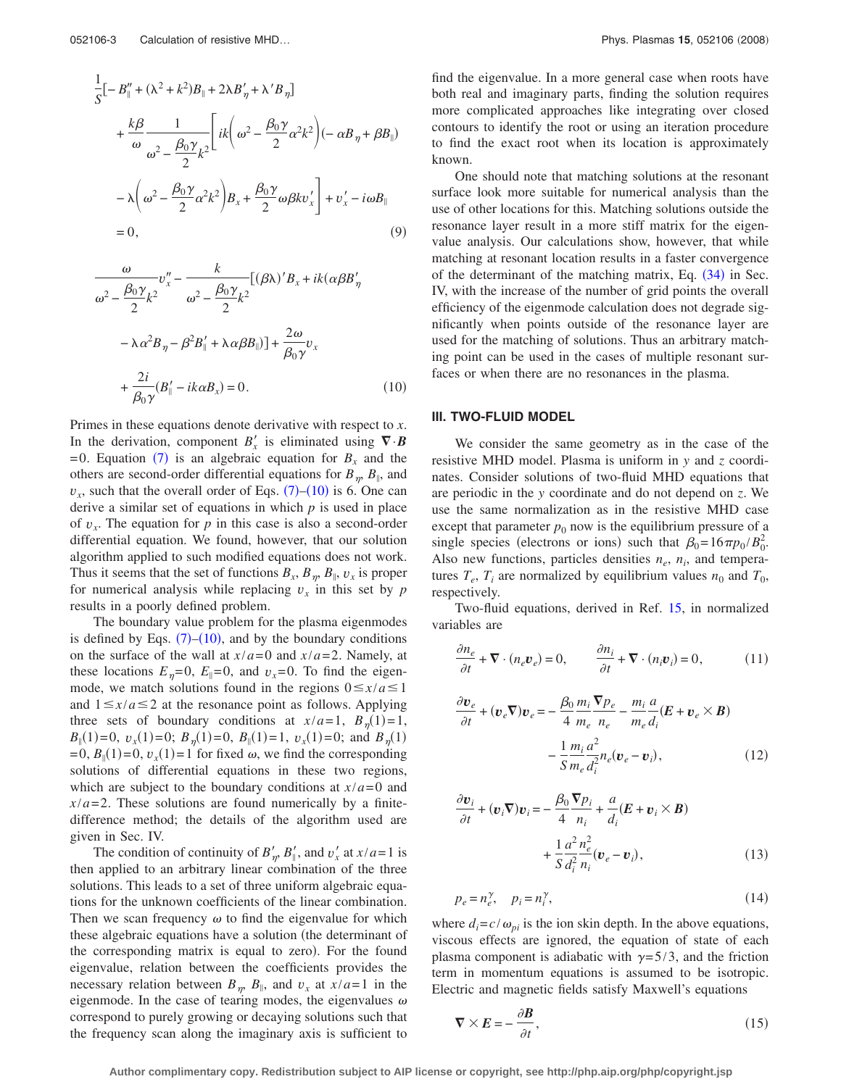$$
\frac{1}{S}\left[-B''_{\parallel} + (\lambda^2 + k^2)B_{\parallel} + 2\lambda B'_{\eta} + \lambda' B_{\eta}\right]
$$
\n
$$
+ \frac{k\beta}{\omega} \frac{1}{\omega^2 - \frac{\beta_0 \gamma}{2} k^2} \left[ik\left(\omega^2 - \frac{\beta_0 \gamma}{2} \alpha^2 k^2\right) \left(-\alpha B_{\eta} + \beta B_{\parallel}\right)\right]
$$
\n
$$
- \lambda \left(\omega^2 - \frac{\beta_0 \gamma}{2} \alpha^2 k^2\right) B_x + \frac{\beta_0 \gamma}{2} \omega \beta k v'_x + v'_x - i\omega B_{\parallel}
$$
\n
$$
= 0, \tag{9}
$$

<span id="page-2-0"></span>
$$
\frac{\omega}{\omega^2 - \frac{\beta_0 \gamma}{2} k^2} v''_x - \frac{k}{\omega^2 - \frac{\beta_0 \gamma}{2} k^2} [(\beta \lambda)' B_x + ik(\alpha \beta B'_{\eta})
$$

$$
- \lambda \alpha^2 B_{\eta} - \beta^2 B'_{\parallel} + \lambda \alpha \beta B_{\parallel} ] + \frac{2\omega}{\beta_0 \gamma} v_x
$$

$$
+ \frac{2i}{\beta_0 \gamma} (B'_{\parallel} - ik\alpha B_x) = 0. \tag{10}
$$

Primes in these equations denote derivative with respect to *x*. In the derivation, component  $B'_x$  is eliminated using  $\nabla \cdot \mathbf{B}$  $= 0$ . Equation ([7](#page-1-4)) is an algebraic equation for  $B_x$  and the others are second-order differential equations for  $B_{\eta}$ ,  $B_{\parallel}$ , and  $v_x$ , such that the overall order of Eqs.  $(7)-(10)$  $(7)-(10)$  $(7)-(10)$  $(7)-(10)$  $(7)-(10)$  is 6. One can derive a similar set of equations in which *p* is used in place of  $v<sub>x</sub>$ . The equation for p in this case is also a second-order differential equation. We found, however, that our solution algorithm applied to such modified equations does not work. Thus it seems that the set of functions  $B_x$ ,  $B_y$ ,  $B_{\parallel}$ ,  $v_x$  is proper for numerical analysis while replacing  $v_x$  in this set by  $p$ results in a poorly defined problem.

The boundary value problem for the plasma eigenmodes is defined by Eqs.  $(7)$  $(7)$  $(7)$ – $(10)$  $(10)$  $(10)$ , and by the boundary conditions on the surface of the wall at  $x/a = 0$  and  $x/a = 2$ . Namely, at these locations  $E_n=0$ ,  $E_{\parallel}=0$ , and  $v_x=0$ . To find the eigenmode, we match solutions found in the regions  $0 \le x/a \le 1$ and  $1 \le x/a \le 2$  at the resonance point as follows. Applying three sets of boundary conditions at  $x/a=1$ ,  $B_{\eta}(1)=1$ ,  $B_{\parallel}(1)=0$ ,  $v_x(1)=0$ ;  $B_{\eta}(1)=0$ ,  $B_{\parallel}(1)=1$ ,  $v_x(1)=0$ ; and  $B_{\eta}(1)$  $= 0, B_{\parallel}(1) = 0, v_x(1) = 1$  for fixed  $\omega$ , we find the corresponding solutions of differential equations in these two regions, which are subject to the boundary conditions at  $x/a = 0$  and  $x/a = 2$ . These solutions are found numerically by a finitedifference method; the details of the algorithm used are given in Sec. IV.

The condition of continuity of  $B'_\n\eta$ ,  $B'_\n\parallel$ , and  $v'_x$  at  $x/a = 1$  is then applied to an arbitrary linear combination of the three solutions. This leads to a set of three uniform algebraic equations for the unknown coefficients of the linear combination. Then we scan frequency  $\omega$  to find the eigenvalue for which these algebraic equations have a solution (the determinant of the corresponding matrix is equal to zero). For the found eigenvalue, relation between the coefficients provides the necessary relation between  $B_n$ ,  $B_{\parallel}$ , and  $v_x$  at  $x/a = 1$  in the eigenmode. In the case of tearing modes, the eigenvalues  $\omega$ correspond to purely growing or decaying solutions such that the frequency scan along the imaginary axis is sufficient to find the eigenvalue. In a more general case when roots have both real and imaginary parts, finding the solution requires more complicated approaches like integrating over closed contours to identify the root or using an iteration procedure to find the exact root when its location is approximately known.

One should note that matching solutions at the resonant surface look more suitable for numerical analysis than the use of other locations for this. Matching solutions outside the resonance layer result in a more stiff matrix for the eigenvalue analysis. Our calculations show, however, that while matching at resonant location results in a faster convergence of the determinant of the matching matrix, Eq.  $(34)$  $(34)$  $(34)$  in Sec. IV, with the increase of the number of grid points the overall efficiency of the eigenmode calculation does not degrade significantly when points outside of the resonance layer are used for the matching of solutions. Thus an arbitrary matching point can be used in the cases of multiple resonant surfaces or when there are no resonances in the plasma.

#### **III. TWO-FLUID MODEL**

We consider the same geometry as in the case of the resistive MHD model. Plasma is uniform in *y* and *z* coordinates. Consider solutions of two-fluid MHD equations that are periodic in the *y* coordinate and do not depend on *z*. We use the same normalization as in the resistive MHD case except that parameter  $p_0$  now is the equilibrium pressure of a single species (electrons or ions) such that  $\beta_0 = 16 \pi p_0 / B_0^2$ . Also new functions, particles densities  $n_e$ ,  $n_i$ , and temperatures  $T_e$ ,  $T_i$  are normalized by equilibrium values  $n_0$  and  $T_0$ , respectively.

<span id="page-2-1"></span>Two-fluid equations, derived in Ref. [15,](#page-10-8) in normalized variables are

$$
\frac{\partial n_e}{\partial t} + \nabla \cdot (n_e \boldsymbol{v}_e) = 0, \qquad \frac{\partial n_i}{\partial t} + \nabla \cdot (n_i \boldsymbol{v}_i) = 0, \tag{11}
$$

<span id="page-2-2"></span>
$$
\frac{\partial \mathbf{v}_e}{\partial t} + (\mathbf{v}_e \nabla) \mathbf{v}_e = -\frac{\beta_0}{4} \frac{m_i}{m_e} \frac{\nabla p_e}{n_e} - \frac{m_i}{m_e} \frac{a}{d_i} (\mathbf{E} + \mathbf{v}_e \times \mathbf{B}) - \frac{1}{S} \frac{m_i}{m_e} \frac{a^2}{d_i^2} n_e (\mathbf{v}_e - \mathbf{v}_i),
$$
\n(12)

$$
\frac{\partial \mathbf{v}_i}{\partial t} + (\mathbf{v}_i \nabla) \mathbf{v}_i = -\frac{\beta_0}{4} \frac{\nabla p_i}{n_i} + \frac{a}{d_i} (\mathbf{E} + \mathbf{v}_i \times \mathbf{B})
$$

$$
+ \frac{1}{S} \frac{a^2}{d_i^2} \frac{n_e^2}{n_i} (\mathbf{v}_e - \mathbf{v}_i), \tag{13}
$$

$$
p_e = n_e^{\gamma}, \quad p_i = n_i^{\gamma}, \tag{14}
$$

where  $d_i = c / \omega_{pi}$  is the ion skin depth. In the above equations, viscous effects are ignored, the equation of state of each plasma component is adiabatic with  $\gamma = 5/3$ , and the friction term in momentum equations is assumed to be isotropic. Electric and magnetic fields satisfy Maxwell's equations

$$
\nabla \times \mathbf{E} = -\frac{\partial \mathbf{B}}{\partial t},\tag{15}
$$

<span id="page-2-3"></span>*v<sup>i</sup>*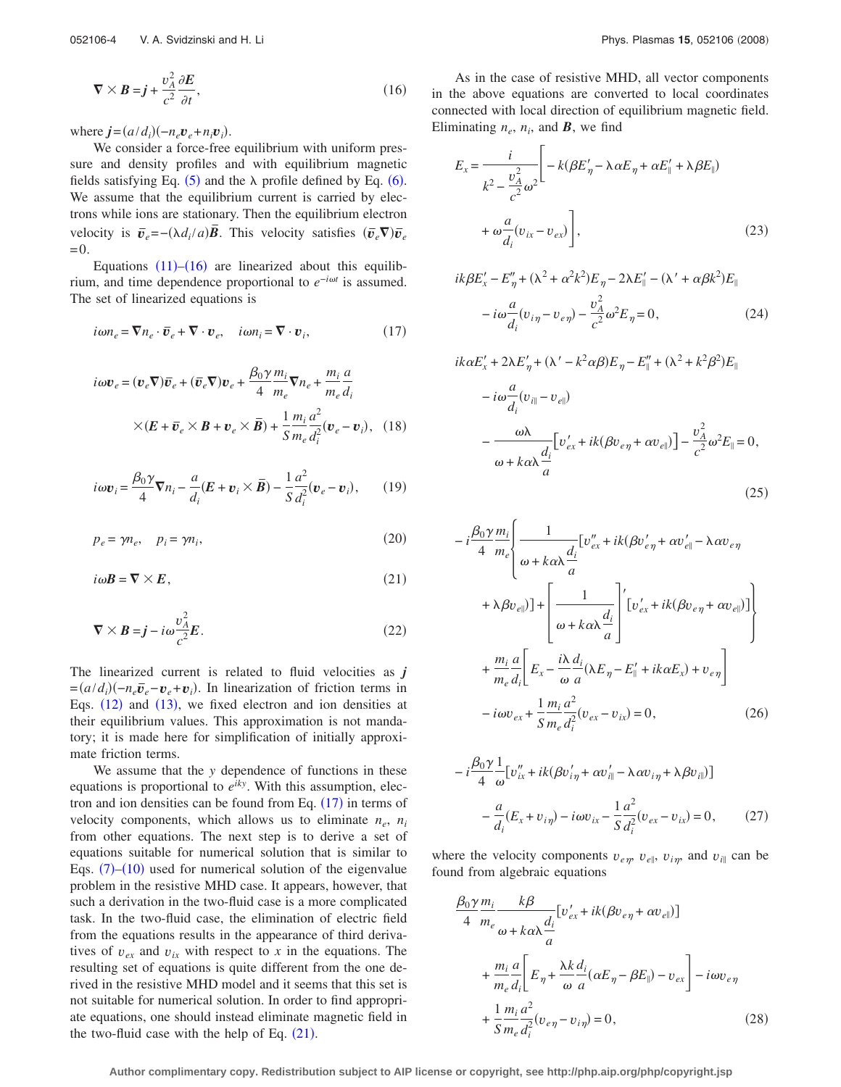<span id="page-3-0"></span>
$$
\nabla \times \mathbf{B} = \mathbf{j} + \frac{v_A^2}{c^2} \frac{\partial \mathbf{E}}{\partial t},\tag{16}
$$

where  $\mathbf{j} = (a/d_i)(-n_e \mathbf{v}_e + n_i \mathbf{v}_i).$ 

We consider a force-free equilibrium with uniform pressure and density profiles and with equilibrium magnetic fields satisfying Eq.  $(5)$  $(5)$  $(5)$  and the  $\lambda$  profile defined by Eq.  $(6)$  $(6)$  $(6)$ . We assume that the equilibrium current is carried by electrons while ions are stationary. Then the equilibrium electron velocity is  $\vec{v}_e = -(\lambda d_i/a)\vec{B}$ . This velocity satisfies  $(\vec{v}_e \nabla)\vec{v}_e$  $=0.$ 

Equations  $(11)$  $(11)$  $(11)$ - $(16)$  $(16)$  $(16)$  are linearized about this equilibrium, and time dependence proportional to *e*−*<sup>i</sup> <sup>t</sup>* is assumed. The set of linearized equations is

<span id="page-3-1"></span>
$$
i\omega n_e = \nabla n_e \cdot \vec{\boldsymbol{v}}_e + \nabla \cdot \vec{\boldsymbol{v}}_e, \quad i\omega n_i = \nabla \cdot \vec{\boldsymbol{v}}_i,
$$
 (17)

$$
i\omega v_e = (v_e \nabla)\bar{v}_e + (\bar{v}_e \nabla)v_e + \frac{\beta_0 \gamma m_i}{4} \nabla n_e + \frac{m_i}{m_e} \frac{a}{d_i}
$$
  
 
$$
\times (E + \bar{v}_e \times B + v_e \times \bar{B}) + \frac{1}{S} \frac{m_i}{m_e} \frac{a^2}{d_i^2} (v_e - v_i), \quad (18)
$$

$$
i\omega v_i = \frac{\beta_0 \gamma}{4} \nabla n_i - \frac{a}{d_i} (E + v_i \times \bar{B}) - \frac{1}{S} \frac{a^2}{d_i^2} (v_e - v_i), \qquad (19)
$$

$$
p_e = \gamma n_e, \quad p_i = \gamma n_i,\tag{20}
$$

<span id="page-3-2"></span>
$$
i\omega \mathbf{B} = \nabla \times \mathbf{E},\tag{21}
$$

<span id="page-3-8"></span>
$$
\nabla \times \mathbf{B} = \mathbf{j} - i\omega \frac{v_A^2}{c^2} \mathbf{E}.
$$
 (22)

The linearized current is related to fluid velocities as *j*  $=$  $(a/d_i)(-n_e\overline{v}_e - v_e + v_i)$ . In linearization of friction terms in Eqs.  $(12)$  $(12)$  $(12)$  and  $(13)$  $(13)$  $(13)$ , we fixed electron and ion densities at their equilibrium values. This approximation is not mandatory; it is made here for simplification of initially approximate friction terms.

We assume that the *y* dependence of functions in these equations is proportional to *eiky*. With this assumption, electron and ion densities can be found from Eq.  $(17)$  $(17)$  $(17)$  in terms of velocity components, which allows us to eliminate  $n_e$ ,  $n_i$ from other equations. The next step is to derive a set of equations suitable for numerical solution that is similar to Eqs.  $(7)$  $(7)$  $(7)$ – $(10)$  $(10)$  $(10)$  used for numerical solution of the eigenvalue problem in the resistive MHD case. It appears, however, that such a derivation in the two-fluid case is a more complicated task. In the two-fluid case, the elimination of electric field from the equations results in the appearance of third derivatives of  $v_{ex}$  and  $v_{ix}$  with respect to *x* in the equations. The resulting set of equations is quite different from the one derived in the resistive MHD model and it seems that this set is not suitable for numerical solution. In order to find appropriate equations, one should instead eliminate magnetic field in the two-fluid case with the help of Eq.  $(21)$  $(21)$  $(21)$ .

As in the case of resistive MHD, all vector components in the above equations are converted to local coordinates connected with local direction of equilibrium magnetic field. Eliminating  $n_e$ ,  $n_i$ , and **B**, we find

<span id="page-3-6"></span>
$$
E_x = \frac{i}{k^2 - \frac{v_A^2}{c^2} \omega^2} \left[ -k(\beta E'_{\eta} - \lambda \alpha E_{\eta} + \alpha E'_{\parallel} + \lambda \beta E_{\parallel}) + \omega \frac{a}{d_i} (v_{ix} - v_{ex}) \right],
$$
\n(23)

<span id="page-3-4"></span>
$$
ik\beta E_x' - E_{\eta}'' + (\lambda^2 + \alpha^2 k^2) E_{\eta} - 2\lambda E_{\parallel}' - (\lambda' + \alpha \beta k^2) E_{\parallel}
$$

$$
- i\omega \frac{a}{d_i} (v_{i\eta} - v_{e\eta}) - \frac{v_A^2}{c^2} \omega^2 E_{\eta} = 0, \qquad (24)
$$

<span id="page-3-7"></span>
$$
ik\alpha E_x' + 2\lambda E_{\eta}' + (\lambda' - k^2 \alpha \beta) E_{\eta} - E_{\parallel}' + (\lambda^2 + k^2 \beta^2) E_{\parallel}
$$
  
\n
$$
-i\omega \frac{a}{d_i} (v_{i\parallel} - v_{e\parallel})
$$
  
\n
$$
-\frac{\omega \lambda}{\omega + k\alpha \lambda} \frac{d_i}{d_i} [v_{ex} + ik(\beta v_{e\eta} + \alpha v_{e\parallel})] - \frac{v_A^2}{c^2} \omega^2 E_{\parallel} = 0,
$$
  
\n
$$
\omega + k\alpha \lambda \frac{d_i}{d_i} (25)
$$

$$
-i\frac{\beta_0 \gamma m_i}{4} \left\{ \frac{1}{m_e} \left[ v''_{ex} + ik(\beta v'_{e\eta} + \alpha v'_{e\eta} - \lambda \alpha v_{e\eta} + \lambda \beta v_{e\eta} \right] \right\}
$$

$$
+ \lambda \beta v_{e\eta} \right\} + \left[ \frac{1}{\omega + k \alpha \lambda \frac{d_i}{a}} \right] \left[ v'_{ex} + ik(\beta v_{e\eta} + \alpha v_{e\eta}) \right]
$$

$$
+ \frac{m_i}{m_e} \frac{a}{d_i} \left[ E_x - \frac{i\lambda}{\omega} \frac{d_i}{a} (\lambda E_\eta - E'_\eta + ik\alpha E_x) + v_{e\eta} \right]
$$

$$
-i\omega v_{ex} + \frac{1}{S} \frac{m_i}{m_e} \frac{a^2}{d_i^2} (v_{ex} - v_{ix}) = 0, \tag{26}
$$

<span id="page-3-5"></span>
$$
-i\frac{\beta_0 \gamma}{4} \frac{1}{\omega} \left[ v''_{ix} + ik(\beta v'_{i\eta} + \alpha v'_{i\eta} - \lambda \alpha v_{i\eta} + \lambda \beta v_{i\eta}) \right]
$$

$$
- \frac{a}{d_i} (E_x + v_{i\eta}) - i\omega v_{ix} - \frac{1}{S} \frac{a^2}{d_i^2} (v_{ex} - v_{ix}) = 0, \qquad (27)
$$

where the velocity components  $v_{e\eta}$ ,  $v_{e\parallel}$ ,  $v_{i\eta}$ , and  $v_{i\parallel}$  can be found from algebraic equations

<span id="page-3-3"></span>
$$
\frac{\beta_0 \gamma m_i}{4} \frac{k\beta}{m_e} \frac{[v'_{ex} + ik(\beta v_{e\eta} + \alpha v_{e\parallel})]}{[\omega + k\alpha \lambda \frac{d_i}{a} [E_{\eta} + \frac{\lambda k}{\omega} \frac{d_i}{a} (\alpha E_{\eta} - \beta E_{\parallel}) - v_{ex}] - i\omega v_{e\eta}
$$

$$
+ \frac{1}{S} \frac{m_i}{m_e} \frac{a^2}{d_i^2} (v_{e\eta} - v_{i\eta}) = 0,
$$
(28)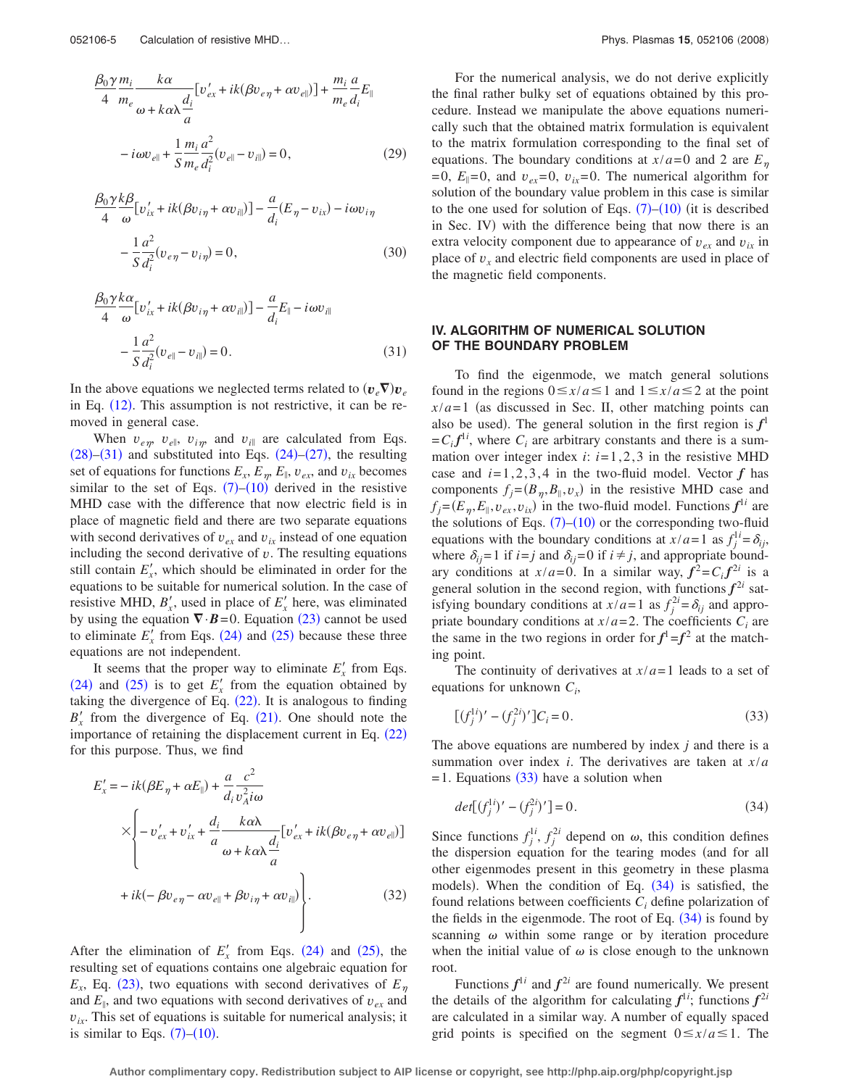$$
\frac{\beta_0 \gamma m_i}{4} \frac{k\alpha}{m_e} [v'_{ex} + ik(\beta v_{e\eta} + \alpha v_{e\eta})] + \frac{m_i}{m_e} \frac{a}{d_i} E_{\parallel}
$$

$$
-i\omega v_{e\parallel} + \frac{1}{S} \frac{m_i}{m_e} \frac{a^2}{d_i^2} (v_{e\parallel} - v_{i\parallel}) = 0, \qquad (29)
$$

$$
\frac{\beta_0 \gamma k \beta}{4} [v'_{ix} + ik(\beta v_{i\eta} + \alpha v_{i\parallel})] - \frac{a}{d_i} (E_{\eta} - v_{ix}) - i\omega v_{i\eta}
$$

$$
-\frac{1}{S} \frac{a^2}{d_i^2} (v_{e\eta} - v_{i\eta}) = 0,
$$
(30)

<span id="page-4-1"></span>
$$
\frac{\beta_0 \gamma k \alpha}{4} [v'_{ix} + ik(\beta v_{i\eta} + \alpha v_{i\vert})] - \frac{a}{d_i} E_{\vert} - i\omega v_{i\vert}
$$

$$
-\frac{1}{S} \frac{a^2}{d_i^2} (v_{e\vert} - v_{i\vert}) = 0.
$$
(31)

In the above equations we neglected terms related to  $(v_e \nabla) v_e$ in Eq.  $(12)$  $(12)$  $(12)$ . This assumption is not restrictive, it can be removed in general case.

When  $v_{e\eta}$ ,  $v_{e\parallel}$ ,  $v_{i\eta}$  and  $v_{i\parallel}$  are calculated from Eqs.  $(28)$  $(28)$  $(28)$ - $(31)$  $(31)$  $(31)$  and substituted into Eqs.  $(24)$  $(24)$  $(24)$ - $(27)$  $(27)$  $(27)$ , the resulting set of equations for functions  $E_x$ ,  $E_y$ ,  $E_{\parallel}$ ,  $v_{ex}$ , and  $v_{ix}$  becomes similar to the set of Eqs.  $(7)$  $(7)$  $(7)$ – $(10)$  $(10)$  $(10)$  derived in the resistive MHD case with the difference that now electric field is in place of magnetic field and there are two separate equations with second derivatives of  $v_{ex}$  and  $v_{ix}$  instead of one equation including the second derivative of *v*. The resulting equations still contain  $E'_x$ , which should be eliminated in order for the equations to be suitable for numerical solution. In the case of resistive MHD,  $B'_x$ , used in place of  $E'_x$  here, was eliminated by using the equation  $\nabla \cdot \mathbf{B} = 0$ . Equation ([23](#page-3-6)) cannot be used to eliminate  $E'_x$  from Eqs. ([24](#page-3-4)) and ([25](#page-3-7)) because these three equations are not independent.

It seems that the proper way to eliminate  $E'_x$  from Eqs.  $(24)$  $(24)$  $(24)$  and  $(25)$  $(25)$  $(25)$  is to get  $E'_x$  from the equation obtained by taking the divergence of Eq.  $(22)$  $(22)$  $(22)$ . It is analogous to finding  $B'_x$  from the divergence of Eq. ([21](#page-3-2)). One should note the importance of retaining the displacement current in Eq.  $(22)$  $(22)$  $(22)$ for this purpose. Thus, we find

$$
E'_{x} = -ik(\beta E_{\eta} + \alpha E_{\parallel}) + \frac{a}{d_{i}} \frac{c^{2}}{v_{A}^{2} i\omega}
$$
  
 
$$
\times \left\{ -v'_{ex} + v'_{ix} + \frac{d_{i}}{a} \frac{k\alpha \lambda}{\omega + k\alpha \lambda} \frac{d_{i}}{a} [v'_{ex} + ik(\beta v_{e\eta} + \alpha v_{e\parallel})] + ik(-\beta v_{e\eta} - \alpha v_{e\parallel} + \beta v_{i\eta} + \alpha v_{i\parallel}) \right\}. \tag{32}
$$

After the elimination of  $E'_x$  from Eqs. ([24](#page-3-4)) and ([25](#page-3-7)), the resulting set of equations contains one algebraic equation for  $E_x$ , Eq. ([23](#page-3-6)), two equations with second derivatives of  $E_y$ and  $E_{\parallel}$ , and two equations with second derivatives of  $v_{ex}$  and  $v_{ix}$ . This set of equations is suitable for numerical analysis; it is similar to Eqs.  $(7)$  $(7)$  $(7)$ – $(10)$  $(10)$  $(10)$ .

For the numerical analysis, we do not derive explicitly the final rather bulky set of equations obtained by this procedure. Instead we manipulate the above equations numerically such that the obtained matrix formulation is equivalent to the matrix formulation corresponding to the final set of equations. The boundary conditions at  $x/a = 0$  and 2 are  $E_n$  $=0$ ,  $E_{\parallel} = 0$ , and  $v_{ex} = 0$ ,  $v_{ix} = 0$ . The numerical algorithm for solution of the boundary value problem in this case is similar to the one used for solution of Eqs.  $(7)$  $(7)$  $(7)$ – $(10)$  $(10)$  $(10)$  (it is described in Sec. IV) with the difference being that now there is an extra velocity component due to appearance of  $v_{ex}$  and  $v_{ix}$  in place of  $v_x$  and electric field components are used in place of the magnetic field components.

## **IV. ALGORITHM OF NUMERICAL SOLUTION OF THE BOUNDARY PROBLEM**

To find the eigenmode, we match general solutions found in the regions  $0 \le x/a \le 1$  and  $1 \le x/a \le 2$  at the point  $x/a = 1$  (as discussed in Sec. II, other matching points can also be used). The general solution in the first region is  $f^1$  $=C_i f^{1i}$ , where  $C_i$  are arbitrary constants and there is a summation over integer index  $i: i=1, 2, 3$  in the resistive MHD case and  $i=1, 2, 3, 4$  in the two-fluid model. Vector  $f$  has components  $f_j = (B_{\eta}, B_{\parallel}, v_x)$  in the resistive MHD case and  $f_j = (E_{\eta}, E_{\parallel}, v_{ex}, v_{ix})$  in the two-fluid model. Functions  $f^{\perp i}$  are the solutions of Eqs.  $(7)$  $(7)$  $(7)$ – $(10)$  $(10)$  $(10)$  or the corresponding two-fluid equations with the boundary conditions at  $x/a = 1$  as  $f_j^{1i} = \delta_{ij}$ , where  $\delta_{ij} = 1$  if  $i = j$  and  $\delta_{ij} = 0$  if  $i \neq j$ , and appropriate boundary conditions at  $x/a = 0$ . In a similar way,  $f^2 = C_i f^{2i}$  is a general solution in the second region, with functions  $f^{2i}$  satisfying boundary conditions at  $x/a = 1$  as  $f_j^{2i} = \delta_{ij}$  and appropriate boundary conditions at  $x/a = 2$ . The coefficients  $C_i$  are the same in the two regions in order for  $f^1 = f^2$  at the matching point.

The continuity of derivatives at  $x/a = 1$  leads to a set of equations for unknown  $C_i$ ,

<span id="page-4-2"></span>
$$
[(f_j^{1i})' - (f_j^{2i})']C_i = 0.
$$
\n(33)

The above equations are numbered by index *j* and there is a summation over index *i*. The derivatives are taken at *x*/*a*  $= 1$ . Equations ([33](#page-4-2)) have a solution when

<span id="page-4-0"></span>
$$
det[(f_j^{1i})' - (f_j^{2i})'] = 0.
$$
\n(34)

Since functions  $f_j^{1i}$ ,  $f_j^{2i}$  depend on  $\omega$ , this condition defines the dispersion equation for the tearing modes (and for all other eigenmodes present in this geometry in these plasma models). When the condition of Eq.  $(34)$  $(34)$  $(34)$  is satisfied, the found relations between coefficients *C<sub>i</sub>* define polarization of the fields in the eigenmode. The root of Eq.  $(34)$  $(34)$  $(34)$  is found by scanning  $\omega$  within some range or by iteration procedure when the initial value of  $\omega$  is close enough to the unknown root.

Functions  $f^{\perp i}$  and  $f^{2i}$  are found numerically. We present the details of the algorithm for calculating  $f^{1i}$ ; functions  $f^{2i}$ are calculated in a similar way. A number of equally spaced grid points is specified on the segment  $0 \le x/a \le 1$ . The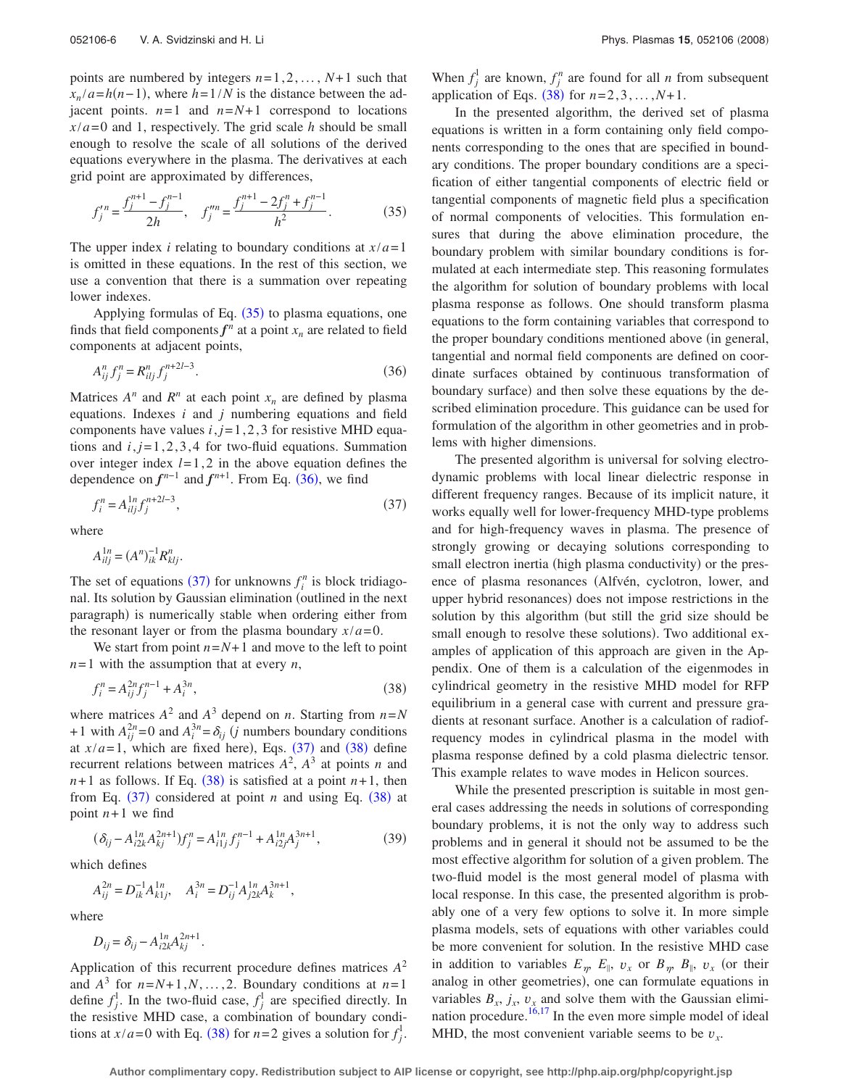points are numbered by integers  $n=1,2,..., N+1$  such that  $x_n/a = h(n-1)$ , where  $h = 1/N$  is the distance between the adjacent points.  $n=1$  and  $n=N+1$  correspond to locations  $x/a = 0$  and 1, respectively. The grid scale *h* should be small enough to resolve the scale of all solutions of the derived equations everywhere in the plasma. The derivatives at each grid point are approximated by differences,

<span id="page-5-0"></span>
$$
f_j'^n = \frac{f_j^{n+1} - f_j^{n-1}}{2h}, \quad f_j'^n = \frac{f_j^{n+1} - 2f_j^n + f_j^{n-1}}{h^2}.
$$
 (35)

The upper index *i* relating to boundary conditions at  $x/a = 1$ is omitted in these equations. In the rest of this section, we use a convention that there is a summation over repeating lower indexes.

Applying formulas of Eq.  $(35)$  $(35)$  $(35)$  to plasma equations, one finds that field components  $f^n$  at a point  $x_n$  are related to field components at adjacent points,

<span id="page-5-1"></span>
$$
A_{ij}^n f_j^n = R_{iij}^n f_j^{n+2l-3}.
$$
\n(36)

Matrices  $A^n$  and  $R^n$  at each point  $x_n$  are defined by plasma equations. Indexes *i* and *j* numbering equations and field components have values  $i, j = 1, 2, 3$  for resistive MHD equations and  $i, j=1, 2, 3, 4$  for two-fluid equations. Summation over integer index  $l=1, 2$  in the above equation defines the dependence on  $f^{n-1}$  and  $f^{n+1}$ . From Eq. ([36](#page-5-1)), we find

<span id="page-5-2"></span>
$$
f_i^n = A_{ilj}^{1n} f_j^{n+2l-3},\tag{37}
$$

where

$$
A_{ilj}^{1n} = (A^n)_{ik}^{-1} R_{klj}^n.
$$

The set of equations ([37](#page-5-2)) for unknowns  $f_i^n$  is block tridiagonal. Its solution by Gaussian elimination (outlined in the next paragraph) is numerically stable when ordering either from the resonant layer or from the plasma boundary  $x/a = 0$ .

We start from point  $n=N+1$  and move to the left to point  $n=1$  with the assumption that at every *n*,

$$
f_i^n = A_{ij}^{2n} f_j^{n-1} + A_i^{3n},\tag{38}
$$

<span id="page-5-3"></span>where matrices  $A^2$  and  $A^3$  depend on *n*. Starting from  $n=N$ +1 with  $A_{ij}^{2n}$  =0 and  $A_i^{3n} = \delta_{ij}$  (*j* numbers boundary conditions at  $x/a = 1$ , which are fixed here), Eqs.  $(37)$  $(37)$  $(37)$  and  $(38)$  $(38)$  $(38)$  define recurrent relations between matrices  $A^2$ ,  $A^3$  at points *n* and  $n+1$  as follows. If Eq. ([38](#page-5-3)) is satisfied at a point  $n+1$ , then from Eq.  $(37)$  $(37)$  $(37)$  considered at point *n* and using Eq.  $(38)$  $(38)$  $(38)$  at point  $n+1$  we find

$$
(\delta_{ij} - A_{i2k}^{1n} A_{kj}^{2n+1}) f_j^n = A_{i1j}^{1n} f_j^{n-1} + A_{i2j}^{1n} A_j^{3n+1},
$$
\n(39)

which defines

$$
A_{ij}^{2n} = D_{ik}^{-1} A_{k1j}^{1n}, \quad A_i^{3n} = D_{ij}^{-1} A_{j2k}^{1n} A_k^{3n+1},
$$

where

$$
D_{ij} = \delta_{ij} - A_{i2k}^{1n} A_{kj}^{2n+1}.
$$

Application of this recurrent procedure defines matrices *A*<sup>2</sup> and  $A^3$  for  $n=N+1, N, \ldots, 2$ . Boundary conditions at  $n=1$ define  $f_j^1$ . In the two-fluid case,  $f_j^1$  are specified directly. In the resistive MHD case, a combination of boundary conditions at  $x/a = 0$  with Eq. ([38](#page-5-3)) for  $n=2$  gives a solution for  $f_j^1$ .

When  $f_j^1$  are known,  $f_j^n$  are found for all *n* from subsequent application of Eqs.  $(38)$  $(38)$  $(38)$  for  $n=2,3,...,N+1$ .

In the presented algorithm, the derived set of plasma equations is written in a form containing only field components corresponding to the ones that are specified in boundary conditions. The proper boundary conditions are a specification of either tangential components of electric field or tangential components of magnetic field plus a specification of normal components of velocities. This formulation ensures that during the above elimination procedure, the boundary problem with similar boundary conditions is formulated at each intermediate step. This reasoning formulates the algorithm for solution of boundary problems with local plasma response as follows. One should transform plasma equations to the form containing variables that correspond to the proper boundary conditions mentioned above (in general, tangential and normal field components are defined on coordinate surfaces obtained by continuous transformation of boundary surface) and then solve these equations by the described elimination procedure. This guidance can be used for formulation of the algorithm in other geometries and in problems with higher dimensions.

The presented algorithm is universal for solving electrodynamic problems with local linear dielectric response in different frequency ranges. Because of its implicit nature, it works equally well for lower-frequency MHD-type problems and for high-frequency waves in plasma. The presence of strongly growing or decaying solutions corresponding to small electron inertia (high plasma conductivity) or the presence of plasma resonances Alfvén, cyclotron, lower, and upper hybrid resonances) does not impose restrictions in the solution by this algorithm (but still the grid size should be small enough to resolve these solutions). Two additional examples of application of this approach are given in the Appendix. One of them is a calculation of the eigenmodes in cylindrical geometry in the resistive MHD model for RFP equilibrium in a general case with current and pressure gradients at resonant surface. Another is a calculation of radiofrequency modes in cylindrical plasma in the model with plasma response defined by a cold plasma dielectric tensor. This example relates to wave modes in Helicon sources.

While the presented prescription is suitable in most general cases addressing the needs in solutions of corresponding boundary problems, it is not the only way to address such problems and in general it should not be assumed to be the most effective algorithm for solution of a given problem. The two-fluid model is the most general model of plasma with local response. In this case, the presented algorithm is probably one of a very few options to solve it. In more simple plasma models, sets of equations with other variables could be more convenient for solution. In the resistive MHD case in addition to variables  $E_{\eta}$ ,  $E_{\parallel}$ ,  $v_x$  or  $B_{\eta}$ ,  $B_{\parallel}$ ,  $v_x$  (or their analog in other geometries), one can formulate equations in variables  $B_x$ ,  $j_x$ ,  $v_x$  and solve them with the Gaussian elimi-nation procedure.<sup>16[,17](#page-10-10)</sup> In the even more simple model of ideal MHD, the most convenient variable seems to be  $v_x$ .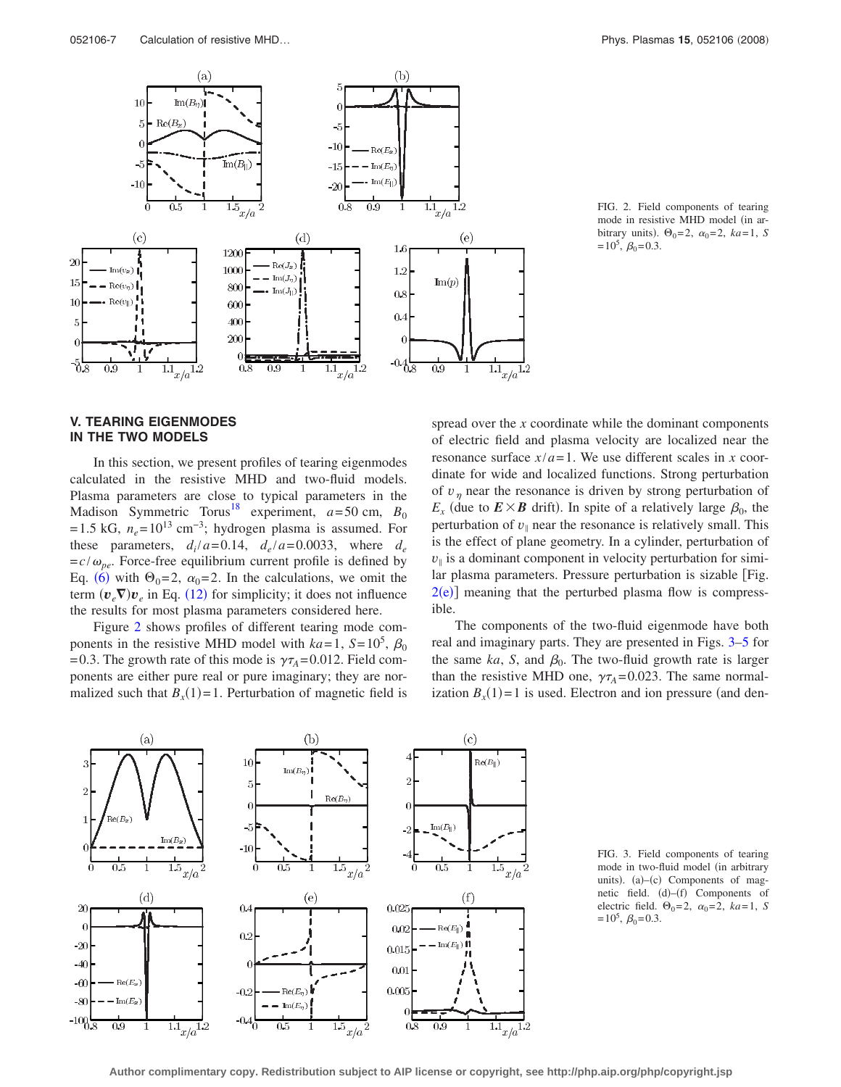<span id="page-6-0"></span>

FIG. 2. Field components of tearing mode in resistive MHD model (in arbitrary units).  $\Theta_0 = 2$ ,  $\alpha_0 = 2$ ,  $ka = 1$ , *S*  $= 10^5$ ,  $\beta_0 = 0.3$ .

### **V. TEARING EIGENMODES IN THE TWO MODELS**

In this section, we present profiles of tearing eigenmodes calculated in the resistive MHD and two-fluid models. Plasma parameters are close to typical parameters in the Madison Symmetric Torus<sup>18</sup> experiment,  $a=50$  cm,  $B_0$  $= 1.5$  kG,  $n_e = 10^{13}$  cm<sup>-3</sup>; hydrogen plasma is assumed. For these parameters,  $d_i/a = 0.14$ ,  $d_e/a = 0.0033$ , where  $d_e$  $=c/\omega_{pe}$ . Force-free equilibrium current profile is defined by Eq. ([6](#page-1-5)) with  $\Theta_0 = 2$ ,  $\alpha_0 = 2$ . In the calculations, we omit the term  $(v_e \nabla) v_e$  in Eq. ([12](#page-2-2)) for simplicity; it does not influence the results for most plasma parameters considered here.

Figure [2](#page-6-0) shows profiles of different tearing mode components in the resistive MHD model with  $ka = 1$ ,  $S = 10^5$ ,  $\beta_0$ = 0.3. The growth rate of this mode is  $\gamma \tau_A = 0.012$ . Field components are either pure real or pure imaginary; they are normalized such that  $B_x(1)=1$ . Perturbation of magnetic field is

spread over the *x* coordinate while the dominant components of electric field and plasma velocity are localized near the resonance surface  $x/a = 1$ . We use different scales in *x* coordinate for wide and localized functions. Strong perturbation of  $v_n$  near the resonance is driven by strong perturbation of  $E_x$  (due to  $E \times B$  drift). In spite of a relatively large  $\beta_0$ , the perturbation of  $v_{\parallel}$  near the resonance is relatively small. This is the effect of plane geometry. In a cylinder, perturbation of  $v_{\parallel}$  is a dominant component in velocity perturbation for similar plasma parameters. Pressure perturbation is sizable Fig.  $2(e)$  $2(e)$ ] meaning that the perturbed plasma flow is compressible.

The components of the two-fluid eigenmode have both real and imaginary parts. They are presented in Figs. [3](#page-6-1)[–5](#page-7-0) for the same  $ka$ , *S*, and  $\beta_0$ . The two-fluid growth rate is larger than the resistive MHD one,  $\gamma \tau_A = 0.023$ . The same normalization  $B_x(1)=1$  is used. Electron and ion pressure (and den-

<span id="page-6-1"></span>

FIG. 3. Field components of tearing mode in two-fluid model (in arbitrary units).  $(a)$ - $(c)$  Components of magnetic field. (d)-(f) Components of electric field.  $\Theta_0 = 2$ ,  $\alpha_0 = 2$ ,  $ka = 1$ , *S*  $= 10^5$ ,  $\beta_0 = 0.3$ .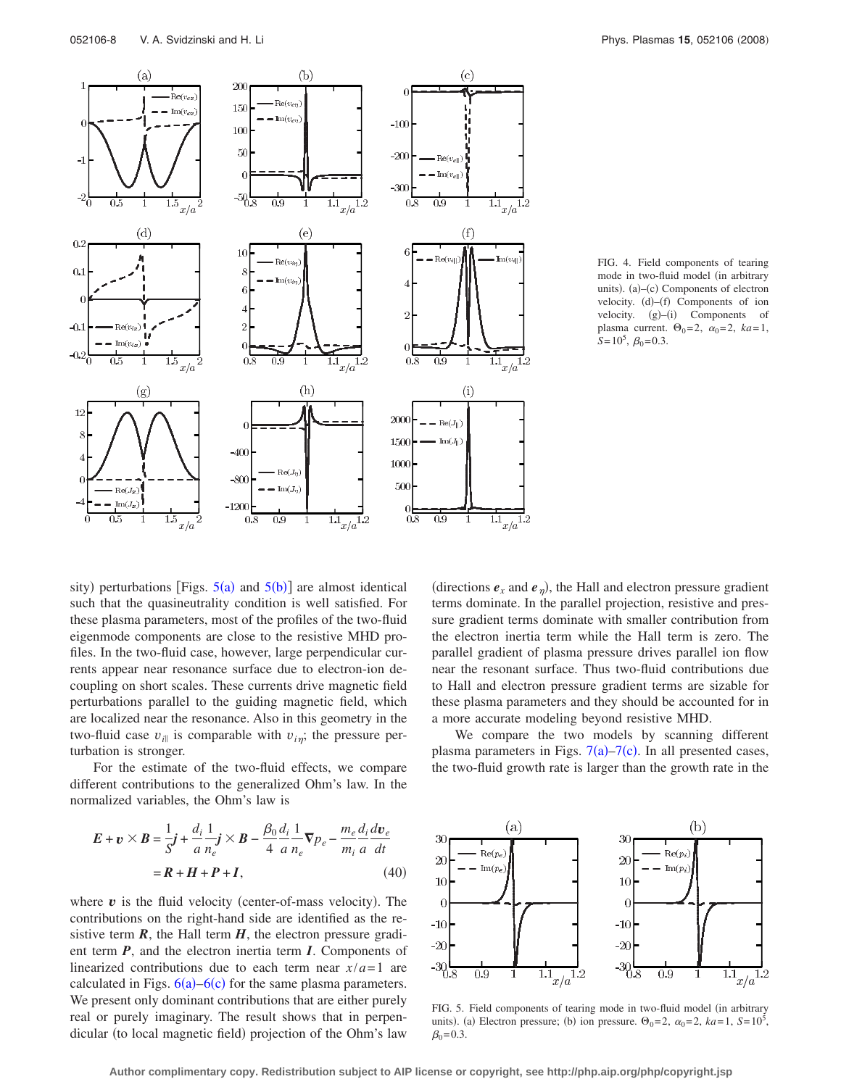

FIG. 4. Field components of tearing mode in two-fluid model (in arbitrary units). (a)–(c) Components of electron velocity. (d)-(f) Components of ion velocity. (g)–(i) Components of plasma current.  $\Theta_0 = 2$ ,  $\alpha_0 = 2$ ,  $ka = 1$ ,  $S=10^5$ ,  $\beta_0=0.3$ .

sity) perturbations [Figs.  $5(a)$  $5(a)$  and  $5(b)$ ] are almost identical such that the quasineutrality condition is well satisfied. For these plasma parameters, most of the profiles of the two-fluid eigenmode components are close to the resistive MHD profiles. In the two-fluid case, however, large perpendicular currents appear near resonance surface due to electron-ion decoupling on short scales. These currents drive magnetic field perturbations parallel to the guiding magnetic field, which are localized near the resonance. Also in this geometry in the two-fluid case  $v_{i\parallel}$  is comparable with  $v_{i\parallel}$ ; the pressure perturbation is stronger.

For the estimate of the two-fluid effects, we compare different contributions to the generalized Ohm's law. In the normalized variables, the Ohm's law is

$$
E + v \times B = \frac{1}{S}j + \frac{d_i}{a} \frac{1}{n_e} j \times B - \frac{\beta_0}{4} \frac{d_i}{a} \frac{1}{n_e} \nabla p_e - \frac{m_e}{m_i} \frac{d_i}{a} \frac{d v_e}{dt}
$$
  
=  $R + H + P + I$ , (40)

where  $v$  is the fluid velocity (center-of-mass velocity). The contributions on the right-hand side are identified as the resistive term  $\vec{R}$ , the Hall term  $\vec{H}$ , the electron pressure gradient term *P*, and the electron inertia term *I*. Components of linearized contributions due to each term near  $x/a = 1$  are calculated in Figs.  $6(a) - 6(c)$  $6(a) - 6(c)$  for the same plasma parameters. We present only dominant contributions that are either purely real or purely imaginary. The result shows that in perpendicular (to local magnetic field) projection of the Ohm's law

(directions  $e_x$  and  $e_y$ ), the Hall and electron pressure gradient terms dominate. In the parallel projection, resistive and pressure gradient terms dominate with smaller contribution from the electron inertia term while the Hall term is zero. The parallel gradient of plasma pressure drives parallel ion flow near the resonant surface. Thus two-fluid contributions due to Hall and electron pressure gradient terms are sizable for these plasma parameters and they should be accounted for in a more accurate modeling beyond resistive MHD.

We compare the two models by scanning different plasma parameters in Figs.  $7(a) - 7(c)$  $7(a) - 7(c)$ . In all presented cases, the two-fluid growth rate is larger than the growth rate in the

<span id="page-7-0"></span>

FIG. 5. Field components of tearing mode in two-fluid model (in arbitrary units). (a) Electron pressure; (b) ion pressure.  $\Theta_0 = 2$ ,  $\alpha_0 = 2$ ,  $ka = 1$ ,  $S = 10^5$ ,  $\beta_0 = 0.3$ .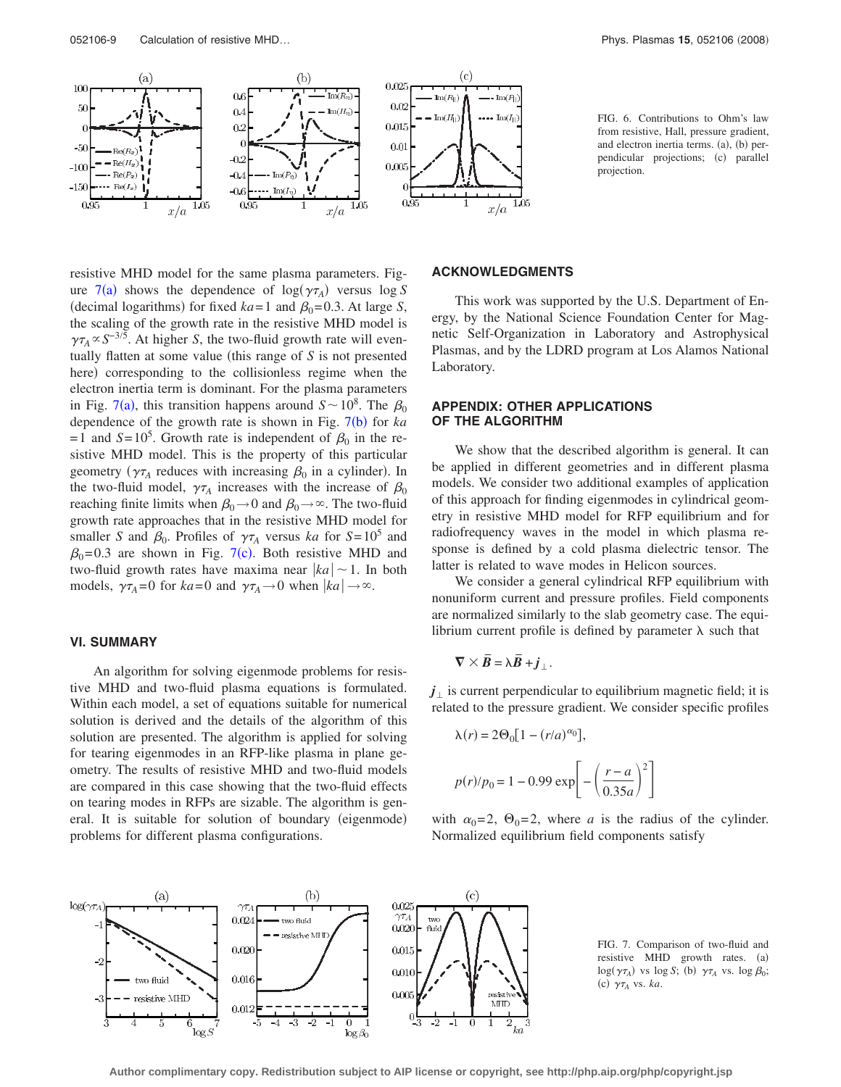<span id="page-8-0"></span>

resistive MHD model for the same plasma parameters. Figure  $7(a)$  $7(a)$  shows the dependence of  $log(\gamma \tau_A)$  versus  $log S$ (decimal logarithms) for fixed  $ka = 1$  and  $\beta_0 = 0.3$ . At large *S*, the scaling of the growth rate in the resistive MHD model is  $\gamma \tau_A \propto S^{-3/5}$ . At higher *S*, the two-fluid growth rate will eventually flatten at some value (this range of  $S$  is not presented here) corresponding to the collisionless regime when the electron inertia term is dominant. For the plasma parameters in Fig. [7](#page-8-1)(a), this transition happens around  $S \sim 10^8$ . The  $\beta_0$ dependence of the growth rate is shown in Fig. [7](#page-8-1)(b) for *ka*  $= 1$  and  $S = 10^5$ . Growth rate is independent of  $\beta_0$  in the resistive MHD model. This is the property of this particular geometry ( $\gamma \tau_A$  reduces with increasing  $\beta_0$  in a cylinder). In the two-fluid model,  $\gamma \tau_A$  increases with the increase of  $\beta_0$ reaching finite limits when  $\beta_0 \rightarrow 0$  and  $\beta_0 \rightarrow \infty$ . The two-fluid growth rate approaches that in the resistive MHD model for smaller *S* and  $\beta_0$ . Profiles of  $\gamma \tau_A$  versus *ka* for  $S = 10^5$  and

# $\beta_0$ =0.3 are shown in Fig. [7](#page-8-1)(c). Both resistive MHD and two-fluid growth rates have maxima near  $|ka| \sim 1$ . In both models,  $\gamma \tau_A = 0$  for  $ka = 0$  and  $\gamma \tau_A \rightarrow 0$  when  $|ka| \rightarrow \infty$ .

#### **VI. SUMMARY**

An algorithm for solving eigenmode problems for resistive MHD and two-fluid plasma equations is formulated. Within each model, a set of equations suitable for numerical solution is derived and the details of the algorithm of this solution are presented. The algorithm is applied for solving for tearing eigenmodes in an RFP-like plasma in plane geometry. The results of resistive MHD and two-fluid models are compared in this case showing that the two-fluid effects on tearing modes in RFPs are sizable. The algorithm is general. It is suitable for solution of boundary (eigenmode) problems for different plasma configurations.

FIG. 6. Contributions to Ohm's law from resistive, Hall, pressure gradient, and electron inertia terms. (a), (b) perpendicular projections; (c) parallel projection.

#### **ACKNOWLEDGMENTS**

This work was supported by the U.S. Department of Energy, by the National Science Foundation Center for Magnetic Self-Organization in Laboratory and Astrophysical Plasmas, and by the LDRD program at Los Alamos National Laboratory.

## **APPENDIX: OTHER APPLICATIONS OF THE ALGORITHM**

We show that the described algorithm is general. It can be applied in different geometries and in different plasma models. We consider two additional examples of application of this approach for finding eigenmodes in cylindrical geometry in resistive MHD model for RFP equilibrium and for radiofrequency waves in the model in which plasma response is defined by a cold plasma dielectric tensor. The latter is related to wave modes in Helicon sources.

We consider a general cylindrical RFP equilibrium with nonuniform current and pressure profiles. Field components are normalized similarly to the slab geometry case. The equilibrium current profile is defined by parameter  $\lambda$  such that

$$
\nabla \times \vec{B} = \lambda \vec{B} + j_{\perp}.
$$

 $j_{\perp}$  is current perpendicular to equilibrium magnetic field; it is related to the pressure gradient. We consider specific profiles

$$
\lambda(r) = 2\Theta_0[1 - (r/a)^{\alpha_0}],
$$
  

$$
p(r)/p_0 = 1 - 0.99 \exp\left[-\left(\frac{r-a}{0.35a}\right)^2\right]
$$

with  $\alpha_0 = 2$ ,  $\Theta_0 = 2$ , where *a* is the radius of the cylinder. Normalized equilibrium field components satisfy

 $\begin{bmatrix} \phantom{-} \end{bmatrix}$ 

<span id="page-8-1"></span>

FIG. 7. Comparison of two-fluid and resistive MHD growth rates. (a)  $log(\gamma \tau_A)$  vs  $log S$ ; (b)  $\gamma \tau_A$  vs.  $log \beta_0$ ; (c)  $\gamma \tau_A$  vs. *ka*.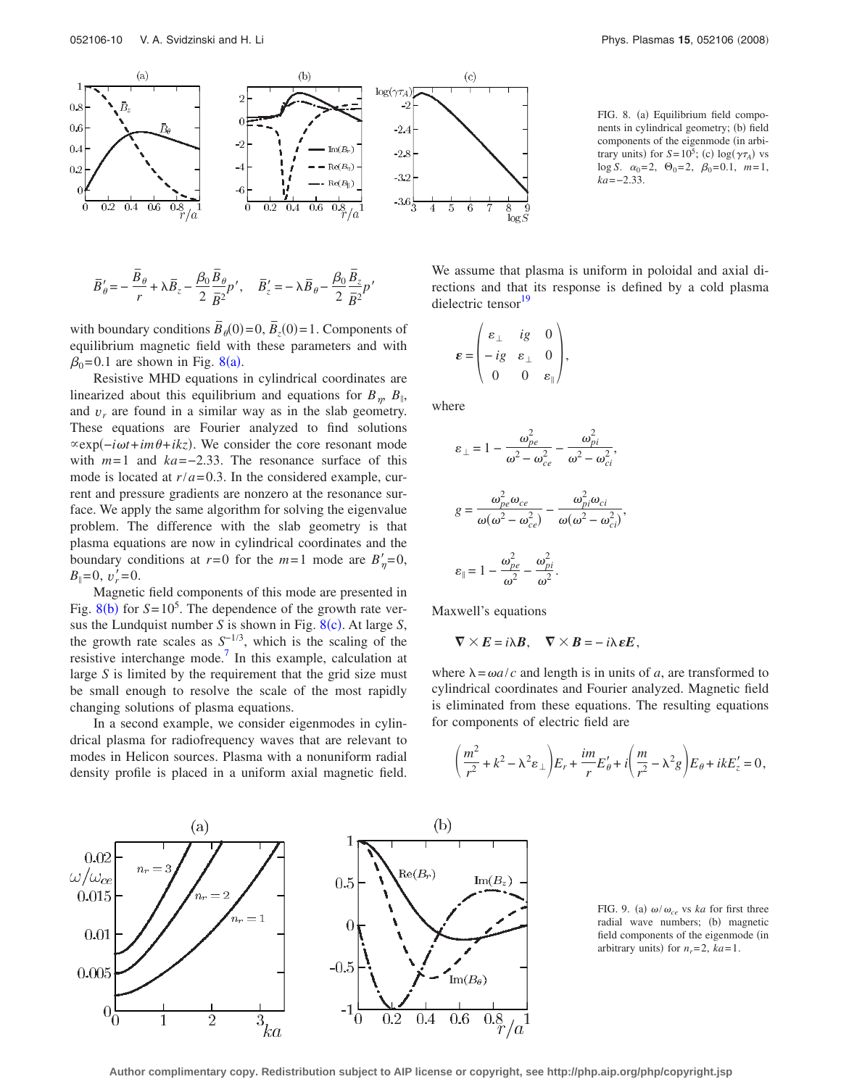<span id="page-9-0"></span>

components of the eigenmode (in arbitrary units) for  $S = 10^5$ ; (c)  $\log(\gamma \tau_A)$  vs  $\log S$ .  $\alpha_0 = 2$ ,  $\Theta_0 = 2$ ,  $\beta_0 = 0.1$ ,  $m = 1$ , *ka*=−2.33.

$$
\overline{B}'_{\theta} = -\frac{\overline{B}_{\theta}}{r} + \lambda \overline{B}_{z} - \frac{\beta_0}{2} \frac{\overline{B}_{\theta}}{\overline{B}^2} p', \quad \overline{B}'_{z} = -\lambda \overline{B}_{\theta} - \frac{\beta_0}{2} \frac{\overline{B}_{z}}{\overline{B}^2} p'
$$

with boundary conditions  $\overline{B}_{\theta}(0) = 0$ ,  $\overline{B}_{z}(0) = 1$ . Components of equilibrium magnetic field with these parameters and with  $\beta_0 = 0.1$  are shown in Fig. [8](#page-9-0)(a).

Resistive MHD equations in cylindrical coordinates are linearized about this equilibrium and equations for  $B_n$ ,  $B_{\parallel}$ , and  $v_r$  are found in a similar way as in the slab geometry. These equations are Fourier analyzed to find solutions exp−*i t*+*im*+*ikz*-. We consider the core resonant mode with *m*= 1 and *ka*=−2.33. The resonance surface of this mode is located at  $r/a = 0.3$ . In the considered example, current and pressure gradients are nonzero at the resonance surface. We apply the same algorithm for solving the eigenvalue problem. The difference with the slab geometry is that plasma equations are now in cylindrical coordinates and the boundary conditions at  $r=0$  for the  $m=1$  mode are  $B'_n=0$ ,  $B_{\parallel}=0, v'_r=0.$ 

Magnetic field components of this mode are presented in Fig.  $8(b)$  $8(b)$  for  $S = 10^5$ . The dependence of the growth rate versus the Lundquist number *S* is shown in Fig.  $8(c)$  $8(c)$ . At large *S*, the growth rate scales as  $S^{-1/3}$ , which is the scaling of the resistive interchange mode.<sup>7</sup> In this example, calculation at large *S* is limited by the requirement that the grid size must be small enough to resolve the scale of the most rapidly changing solutions of plasma equations.

In a second example, we consider eigenmodes in cylindrical plasma for radiofrequency waves that are relevant to modes in Helicon sources. Plasma with a nonuniform radial density profile is placed in a uniform axial magnetic field. We assume that plasma is uniform in poloidal and axial directions and that its response is defined by a cold plasma dielectric tensor<sup>19</sup>

$$
\boldsymbol{\varepsilon} = \begin{pmatrix} \varepsilon_{\perp} & ig & 0 \\ -ig & \varepsilon_{\perp} & 0 \\ 0 & 0 & \varepsilon_{\parallel} \end{pmatrix},
$$

where

$$
\varepsilon_{\perp} = 1 - \frac{\omega_{pe}^2}{\omega^2 - \omega_{ce}^2} - \frac{\omega_{pi}^2}{\omega^2 - \omega_{ci}^2},
$$

$$
g = \frac{\omega_{pe}^2 \omega_{ce}}{\omega(\omega^2 - \omega_{ce}^2)} - \frac{\omega_{pi}^2 \omega_{ci}}{\omega(\omega^2 - \omega_{ci}^2)},
$$

$$
\varepsilon_{\parallel} = 1 - \frac{\omega_{pe}^2}{\omega^2} - \frac{\omega_{pi}^2}{\omega^2}.
$$

Maxwell's equations

$$
\nabla \times E = i \lambda B, \quad \nabla \times B = -i \lambda \varepsilon E,
$$

where  $\lambda = \omega a/c$  and length is in units of *a*, are transformed to cylindrical coordinates and Fourier analyzed. Magnetic field is eliminated from these equations. The resulting equations for components of electric field are

$$
\left(\frac{m^2}{r^2} + k^2 - \lambda^2 \varepsilon_\perp\right) E_r + \frac{im}{r} E'_\theta + i \left(\frac{m}{r^2} - \lambda^2 g\right) E_\theta + ikE'_z = 0,
$$

<span id="page-9-1"></span>

FIG. 9. (a)  $\omega/\omega_{ce}$  vs *ka* for first three radial wave numbers; (b) magnetic field components of the eigenmode (in arbitrary units) for  $n_r = 2$ ,  $ka = 1$ .